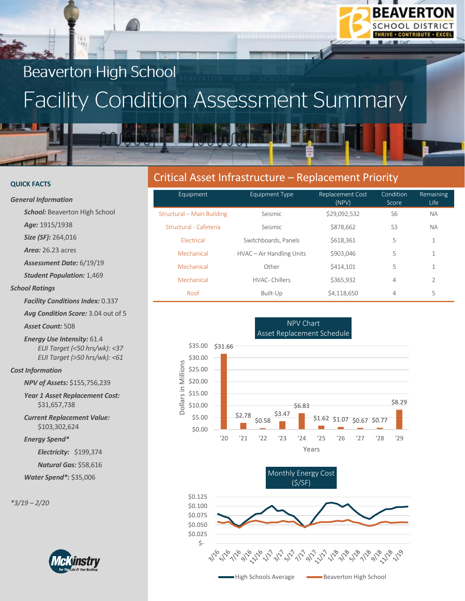

#### **QUICK FACTS**

#### *General Information*

**School:** Beaverton High School

*Age:* 1915/1938

*Size (SF):* 264,016

*Area:* 26.23 acres

*Assessment Date:* 6/19/19

*Student Population:* 1,469

#### *School Ratings*

*Facility Conditions Index:* 0.337

*Avg Condition Score:* 3.04 out of 5

*Asset Count:* 508

*Energy Use Intensity:* 61.4 *EUI Target (<50 hrs/wk): <37 EUI Target (>50 hrs/wk): <61*

#### *Cost Information*

*NPV of Assets:* \$155,756,239

*Year 1 Asset Replacement Cost:* \$31,657,738

*Current Replacement Value:* \$103,302,624

*Energy Spend\**

*Electricity:* \$199,374

*Natural Gas:* \$58,616

*Water Spend\*:* \$35,006

*\*3/19 – 2/20*



# Critical Asset Infrastructure – Replacement Priority

| Equipment                  | <b>Equipment Type</b>     | Replacement Cost<br>(NPV) | Condition<br>Score | Remaining<br>Life |
|----------------------------|---------------------------|---------------------------|--------------------|-------------------|
| Structural – Main Building | Seismic                   | \$29,092,532              | S6                 | <b>NA</b>         |
| Structural - Cafeteria     | Seismic                   | \$878,662                 | S <sub>3</sub>     | <b>NA</b>         |
| <b>Flectrical</b>          | Switchboards, Panels      | \$618,361                 | 5                  | 1                 |
| Mechanical                 | HVAC – Air Handling Units | \$903,046                 | 5                  | 1                 |
| Mechanical                 | Other                     | \$414,101                 | 5                  | 1                 |
| Mechanical                 | HVAC-Chillers             | \$365,932                 | $\overline{4}$     | $\overline{2}$    |
| Roof                       | Built-Up                  | \$4,118,650               | 4                  | 5                 |

**BEAVERTON SCHOOL DISTRICT**